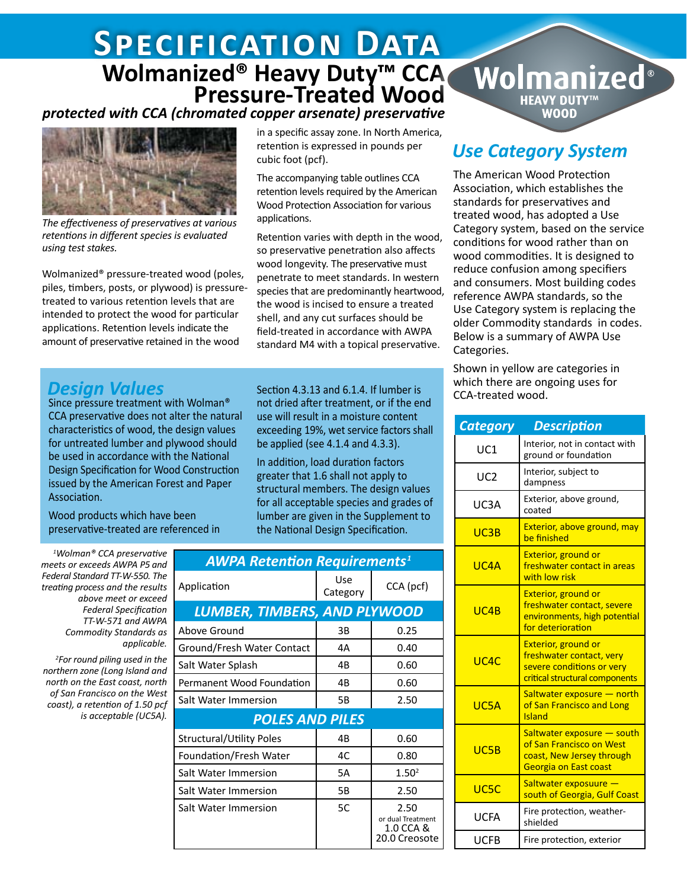# *Retention & Penetration* **Specification Data Wolmanized<sup>®</sup> Heavy Duty<sup>™</sup> CCA<br>Pressure-Treated Wood**

#### *protected with CCA (chromated copper arsenate) preservative*



*The effectiveness of preservatives at various retentions in different species is evaluated using test stakes.* 

Wolmanized® pressure-treated wood (poles, piles, timbers, posts, or plywood) is pressuretreated to various retention levels that are intended to protect the wood for particular applications. Retention levels indicate the amount of preservative retained in the wood

in a specific assay zone. In North America, retention is expressed in pounds per cubic foot (pcf).

The accompanying table outlines CCA retention levels required by the American Wood Protection Association for various applications.

Retention varies with depth in the wood, so preservative penetration also affects wood longevity. The preservative must penetrate to meet standards. In western species that are predominantly heartwood, the wood is incised to ensure a treated shell, and any cut surfaces should be field-treated in accordance with AWPA standard M4 with a topical preservative.

not dried after treatment, or if the end use will result in a moisture content exceeding 19%, wet service factors shall be applied (see 4.1.4 and 4.3.3). In addition, load duration factors greater that 1.6 shall not apply to structural members. The design values for all acceptable species and grades of lumber are given in the Supplement to the National Design Specification.

#### **Design Values** Section 4.3.13 and 6.1.4. If lumber is

Since pressure treatment with Wolman® CCA preservative does not alter the natural characteristics of wood, the design values for untreated lumber and plywood should be used in accordance with the National Design Specification for Wood Construction issued by the American Forest and Paper Association.

Wood products which have been preservative-treated are referenced in

*1 Wolman® CCA preservative meets or exceeds AWPA P5 and Federal Standard TT-W-550. The treating process and the results above meet or exceed Federal Specification TT-W-571 and AWPA Commodity Standards as applicable.* 

*2 For round piling used in the northern zone (Long Island and north on the East coast, north of San Francisco on the West coast), a retention of 1.50 pcf is acceptable (UC5A).*

| <b>AWPA Retention Requirements<sup>1</sup></b> |                 |                                                         |
|------------------------------------------------|-----------------|---------------------------------------------------------|
| Application                                    | Use<br>Category | CCA (pcf)                                               |
| LUMBER, TIMBERS, AND PLYWOOD                   |                 |                                                         |
| Above Ground                                   | 3B              | 0.25                                                    |
| Ground/Fresh Water Contact                     | 4A              | 0.40                                                    |
| Salt Water Splash                              | 4B              | 0.60                                                    |
| Permanent Wood Foundation                      | 4B              | 0.60                                                    |
| Salt Water Immersion                           | 5Β              | 2.50                                                    |
| <b>POLES AND PILES</b>                         |                 |                                                         |
| Structural/Utility Poles                       | 4B              | 0.60                                                    |
| Foundation/Fresh Water                         | 4C              | 0.80                                                    |
| Salt Water Immersion                           | 5A              | 1.50 <sup>2</sup>                                       |
| Salt Water Immersion                           | 5Β              | 2.50                                                    |
| Salt Water Immersion                           | 5C              | 2.50<br>or dual Treatment<br>1.0 CCA &<br>20.0 Creosote |

## *Use Category System*

Wolmanized®

**HEAVY DUTY™ WOOD** 

The American Wood Protection Association, which establishes the standards for preservatives and treated wood, has adopted a Use Category system, based on the service conditions for wood rather than on wood commodities. It is designed to reduce confusion among specifiers and consumers. Most building codes reference AWPA standards, so the Use Category system is replacing the older Commodity standards in codes. Below is a summary of AWPA Use Categories.

Shown in yellow are categories in which there are ongoing uses for CCA-treated wood.

| <b>Category</b> | <b>Description</b>                                                                                                    |  |  |
|-----------------|-----------------------------------------------------------------------------------------------------------------------|--|--|
| UC1             | Interior, not in contact with<br>ground or foundation                                                                 |  |  |
| UC <sub>2</sub> | Interior, subject to<br>dampness                                                                                      |  |  |
| UC3A            | Exterior, above ground,<br>coated                                                                                     |  |  |
| UC3B            | Exterior, above ground, may<br>be finished                                                                            |  |  |
| UC4A            | <b>Exterior, ground or</b><br>freshwater contact in areas<br>with low risk                                            |  |  |
| UCAB            | <b>Exterior, ground or</b><br>freshwater contact, severe<br>environments, high potential<br>for deterioration         |  |  |
| UCAC            | <b>Exterior, ground or</b><br>freshwater contact, very<br>severe conditions or very<br>critical structural components |  |  |
| UC5A            | Saltwater exposure - north<br>of San Francisco and Long<br><b>Island</b>                                              |  |  |
| UC5B            | Saltwater exposure – south<br>of San Francisco on West<br>coast, New Jersey through<br><b>Georgia on East coast</b>   |  |  |
| UC5C            | Saltwater exposuure -<br>south of Georgia, Gulf Coast                                                                 |  |  |
| <b>UCFA</b>     | Fire protection, weather-<br>shielded                                                                                 |  |  |
| UCFB            | Fire protection, exterior                                                                                             |  |  |